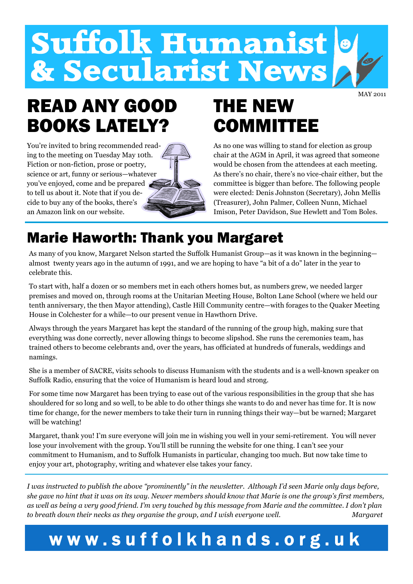# Suffolk Humanist<br>& Secularist News

MAY 2011

## READ ANY GOOD BOOKS LATELY?

You're invited to bring recommended reading to the meeting on Tuesday May 10th. Fiction or non-fiction, prose or poetry, science or art, funny or serious—whatever you've enjoyed, come and be prepared to tell us about it. Note that if you decide to buy any of the books, there's an Amazon link on our website.

## THE NEW **COMMITTEE**

As no one was willing to stand for election as group chair at the AGM in April, it was agreed that someone would be chosen from the attendees at each meeting. As there's no chair, there's no vice-chair either, but the committee is bigger than before. The following people were elected: Denis Johnston (Secretary), John Mellis (Treasurer), John Palmer, Colleen Nunn, Michael Imison, Peter Davidson, Sue Hewlett and Tom Boles.

## Marie Haworth: Thank you Margaret

As many of you know, Margaret Nelson started the Suffolk Humanist Group—as it was known in the beginning almost twenty years ago in the autumn of 1991, and we are hoping to have "a bit of a do" later in the year to celebrate this.

To start with, half a dozen or so members met in each others homes but, as numbers grew, we needed larger premises and moved on, through rooms at the Unitarian Meeting House, Bolton Lane School (where we held our tenth anniversary, the then Mayor attending), Castle Hill Community centre—with forages to the Quaker Meeting House in Colchester for a while—to our present venue in Hawthorn Drive.

Always through the years Margaret has kept the standard of the running of the group high, making sure that everything was done correctly, never allowing things to become slipshod. She runs the ceremonies team, has trained others to become celebrants and, over the years, has officiated at hundreds of funerals, weddings and namings.

She is a member of SACRE, visits schools to discuss Humanism with the students and is a well-known speaker on Suffolk Radio, ensuring that the voice of Humanism is heard loud and strong.

For some time now Margaret has been trying to ease out of the various responsibilities in the group that she has shouldered for so long and so well, to be able to do other things she wants to do and never has time for. It is now time for change, for the newer members to take their turn in running things their way—but be warned; Margaret will be watching!

Margaret, thank you! I'm sure everyone will join me in wishing you well in your semi-retirement. You will never lose your involvement with the group. You'll still be running the website for one thing. I can't see your commitment to Humanism, and to Suffolk Humanists in particular, changing too much. But now take time to enjoy your art, photography, writing and whatever else takes your fancy.

*I was instructed to publish the above "prominently" in the newsletter. Although I'd seen Marie only days before, she gave no hint that it was on its way. Newer members should know that Marie is one the group's first members,*  as well as being a very good friend. I'm very touched by this message from Marie and the committee. I don't plan *to breath down their necks as they organise the group, and I wish everyone well. Margaret* 

## **w w w . s u f f o l k h a n d s . o r g . u k**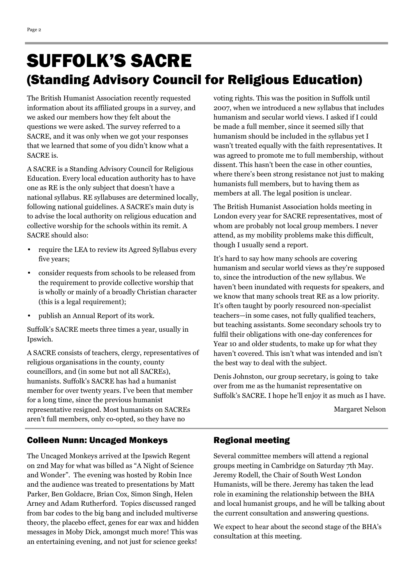## SUFFOLK'S SACRE (Standing Advisory Council for Religious Education)

The British Humanist Association recently requested information about its affiliated groups in a survey, and we asked our members how they felt about the questions we were asked. The survey referred to a SACRE, and it was only when we got your responses that we learned that some of you didn't know what a SACRE is.

A SACRE is a Standing Advisory Council for Religious Education. Every local education authority has to have one as RE is the only subject that doesn't have a national syllabus. RE syllabuses are determined locally, following national guidelines. A SACRE's main duty is to advise the local authority on religious education and collective worship for the schools within its remit. A SACRE should also:

- require the LEA to review its Agreed Syllabus every five years;
- consider requests from schools to be released from the requirement to provide collective worship that is wholly or mainly of a broadly Christian character (this is a legal requirement);
- publish an Annual Report of its work.

Suffolk's SACRE meets three times a year, usually in Ipswich.

A SACRE consists of teachers, clergy, representatives of religious organisations in the county, county councillors, and (in some but not all SACREs), humanists. Suffolk's SACRE has had a humanist member for over twenty years. I've been that member for a long time, since the previous humanist representative resigned. Most humanists on SACREs aren't full members, only co-opted, so they have no

voting rights. This was the position in Suffolk until 2007, when we introduced a new syllabus that includes humanism and secular world views. I asked if I could be made a full member, since it seemed silly that humanism should be included in the syllabus yet I wasn't treated equally with the faith representatives. It was agreed to promote me to full membership, without dissent. This hasn't been the case in other counties, where there's been strong resistance not just to making humanists full members, but to having them as members at all. The legal position is unclear.

The British Humanist Association holds meeting in London every year for SACRE representatives, most of whom are probably not local group members. I never attend, as my mobility problems make this difficult, though I usually send a report.

It's hard to say how many schools are covering humanism and secular world views as they're supposed to, since the introduction of the new syllabus. We haven't been inundated with requests for speakers, and we know that many schools treat RE as a low priority. It's often taught by poorly resourced non-specialist teachers—in some cases, not fully qualified teachers, but teaching assistants. Some secondary schools try to fulfil their obligations with one-day conferences for Year 10 and older students, to make up for what they haven't covered. This isn't what was intended and isn't the best way to deal with the subject.

Denis Johnston, our group secretary, is going to take over from me as the humanist representative on Suffolk's SACRE. I hope he'll enjoy it as much as I have.

Margaret Nelson

#### Colleen Nunn: Uncaged Monkeys Regional meeting

The Uncaged Monkeys arrived at the Ipswich Regent on 2nd May for what was billed as "A Night of Science and Wonder". The evening was hosted by Robin Ince and the audience was treated to presentations by Matt Parker, Ben Goldacre, Brian Cox, Simon Singh, Helen Arney and Adam Rutherford. Topics discussed ranged from bar codes to the big bang and included multiverse theory, the placebo effect, genes for ear wax and hidden messages in Moby Dick, amongst much more! This was an entertaining evening, and not just for science geeks!

Several committee members will attend a regional groups meeting in Cambridge on Saturday 7th May. Jeremy Rodell, the Chair of South West London Humanists, will be there. Jeremy has taken the lead role in examining the relationship between the BHA and local humanist groups, and he will be talking about the current consultation and answering questions.

We expect to hear about the second stage of the BHA's consultation at this meeting.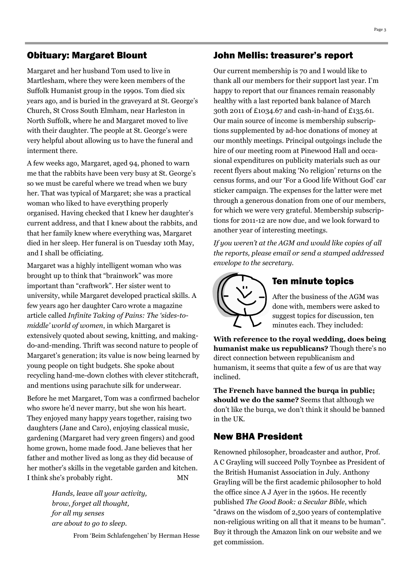#### Obituary: Margaret Blount

Margaret and her husband Tom used to live in Martlesham, where they were keen members of the Suffolk Humanist group in the 1990s. Tom died six years ago, and is buried in the graveyard at St. George's Church, St Cross South Elmham, near Harleston in North Suffolk, where he and Margaret moved to live with their daughter. The people at St. George's were very helpful about allowing us to have the funeral and interment there.

A few weeks ago, Margaret, aged 94, phoned to warn me that the rabbits have been very busy at St. George's so we must be careful where we tread when we bury her. That was typical of Margaret; she was a practical woman who liked to have everything properly organised. Having checked that I knew her daughter's current address, and that I knew about the rabbits, and that her family knew where everything was, Margaret died in her sleep. Her funeral is on Tuesday 10th May, and I shall be officiating.

Margaret was a highly intelligent woman who was brought up to think that "brainwork" was more important than "craftwork". Her sister went to university, while Margaret developed practical skills. A few years ago her daughter Caro wrote a magazine article called *Infinite Taking of Pains: The 'sides-tomiddle' world of women*, in which Margaret is extensively quoted about sewing, knitting, and makingdo-and-mending. Thrift was second nature to people of Margaret's generation; its value is now being learned by young people on tight budgets. She spoke about recycling hand-me-down clothes with clever stitchcraft, and mentions using parachute silk for underwear.

Before he met Margaret, Tom was a confirmed bachelor who swore he'd never marry, but she won his heart. They enjoyed many happy years together, raising two daughters (Jane and Caro), enjoying classical music, gardening (Margaret had very green fingers) and good home grown, home made food. Jane believes that her father and mother lived as long as they did because of her mother's skills in the vegetable garden and kitchen. I think she's probably right. MN

> *Hands, leave all your activity, brow, forget all thought, for all my senses are about to go to sleep.*

> > From 'Beim Schlafengehen' by Herman Hesse

#### John Mellis: treasurer's report

Our current membership is 70 and I would like to thank all our members for their support last year. I'm happy to report that our finances remain reasonably healthy with a last reported bank balance of March 30th 2011 of £1034.67 and cash-in-hand of £135.61. Our main source of income is membership subscriptions supplemented by ad-hoc donations of money at our monthly meetings. Principal outgoings include the hire of our meeting room at Pinewood Hall and occasional expenditures on publicity materials such as our recent flyers about making 'No religion' returns on the census forms, and our 'For a Good life Without God' car sticker campaign. The expenses for the latter were met through a generous donation from one of our members, for which we were very grateful. Membership subscriptions for 2011-12 are now due, and we look forward to another year of interesting meetings.

*If you weren't at the AGM and would like copies of all the reports, please email or send a stamped addressed envelope to the secretary.* 



#### Ten minute topics

After the business of the AGM was done with, members were asked to suggest topics for discussion, ten minutes each. They included:

**With reference to the royal wedding, does being humanist make us republicans?** Though there's no direct connection between republicanism and humanism, it seems that quite a few of us are that way inclined.

**The French have banned the burqa in public; should we do the same?** Seems that although we don't like the burqa, we don't think it should be banned in the UK.

#### New BHA President

Renowned philosopher, broadcaster and author, Prof. A C Grayling will succeed Polly Toynbee as President of the British Humanist Association in July. Anthony Grayling will be the first academic philosopher to hold the office since A J Ayer in the 1960s. He recently published *The Good Book: a Secular Bible*, which "draws on the wisdom of 2,500 years of contemplative non-religious writing on all that it means to be human". Buy it through the Amazon link on our website and we get commission.